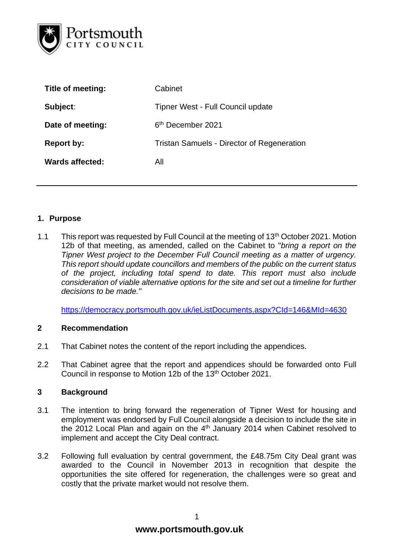

| Title of meeting:      | Cabinet                                    |  |  |  |
|------------------------|--------------------------------------------|--|--|--|
| Subject:               | Tipner West - Full Council update          |  |  |  |
| Date of meeting:       | 6 <sup>th</sup> December 2021              |  |  |  |
| <b>Report by:</b>      | Tristan Samuels - Director of Regeneration |  |  |  |
| <b>Wards affected:</b> | All                                        |  |  |  |
|                        |                                            |  |  |  |

# **1. Purpose**

1.1 This report was requested by Full Council at the meeting of 13<sup>th</sup> October 2021. Motion 12b of that meeting, as amended, called on the Cabinet to "*bring a report on the Tipner West project to the December Full Council meeting as a matter of urgency. This report should update councillors and members of the public on the current status of the project, including total spend to date. This report must also include consideration of viable alternative options for the site and set out a timeline for further decisions to be made."*

<https://democracy.portsmouth.gov.uk/ieListDocuments.aspx?CId=146&MId=4630>

#### **2 Recommendation**

- 2.1 That Cabinet notes the content of the report including the appendices.
- 2.2 That Cabinet agree that the report and appendices should be forwarded onto Full Council in response to Motion 12b of the 13th October 2021.

#### **3 Background**

- 3.1 The intention to bring forward the regeneration of Tipner West for housing and employment was endorsed by Full Council alongside a decision to include the site in the 2012 Local Plan and again on the 4<sup>th</sup> January 2014 when Cabinet resolved to implement and accept the City Deal contract.
- 3.2 Following full evaluation by central government, the £48.75m City Deal grant was awarded to the Council in November 2013 in recognition that despite the opportunities the site offered for regeneration, the challenges were so great and costly that the private market would not resolve them.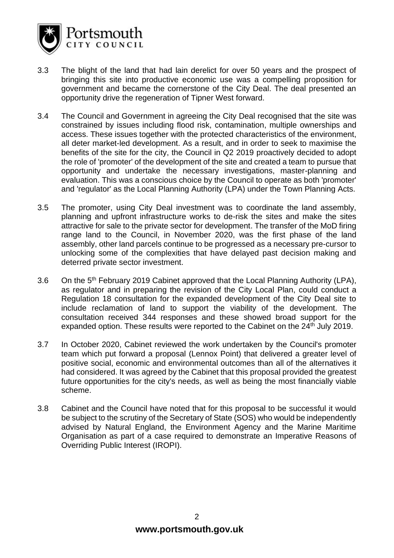

- 3.3 The blight of the land that had lain derelict for over 50 years and the prospect of bringing this site into productive economic use was a compelling proposition for government and became the cornerstone of the City Deal. The deal presented an opportunity drive the regeneration of Tipner West forward.
- 3.4 The Council and Government in agreeing the City Deal recognised that the site was constrained by issues including flood risk, contamination, multiple ownerships and access. These issues together with the protected characteristics of the environment, all deter market-led development. As a result, and in order to seek to maximise the benefits of the site for the city, the Council in Q2 2019 proactively decided to adopt the role of 'promoter' of the development of the site and created a team to pursue that opportunity and undertake the necessary investigations, master-planning and evaluation. This was a conscious choice by the Council to operate as both 'promoter' and 'regulator' as the Local Planning Authority (LPA) under the Town Planning Acts.
- 3.5 The promoter, using City Deal investment was to coordinate the land assembly, planning and upfront infrastructure works to de-risk the sites and make the sites attractive for sale to the private sector for development. The transfer of the MoD firing range land to the Council, in November 2020, was the first phase of the land assembly, other land parcels continue to be progressed as a necessary pre-cursor to unlocking some of the complexities that have delayed past decision making and deterred private sector investment.
- 3.6 On the 5<sup>th</sup> February 2019 Cabinet approved that the Local Planning Authority (LPA), as regulator and in preparing the revision of the City Local Plan, could conduct a Regulation 18 consultation for the expanded development of the City Deal site to include reclamation of land to support the viability of the development. The consultation received 344 responses and these showed broad support for the expanded option. These results were reported to the Cabinet on the 24<sup>th</sup> July 2019.
- 3.7 In October 2020, Cabinet reviewed the work undertaken by the Council's promoter team which put forward a proposal (Lennox Point) that delivered a greater level of positive social, economic and environmental outcomes than all of the alternatives it had considered. It was agreed by the Cabinet that this proposal provided the greatest future opportunities for the city's needs, as well as being the most financially viable scheme.
- 3.8 Cabinet and the Council have noted that for this proposal to be successful it would be subject to the scrutiny of the Secretary of State (SOS) who would be independently advised by Natural England, the Environment Agency and the Marine Maritime Organisation as part of a case required to demonstrate an Imperative Reasons of Overriding Public Interest (IROPI).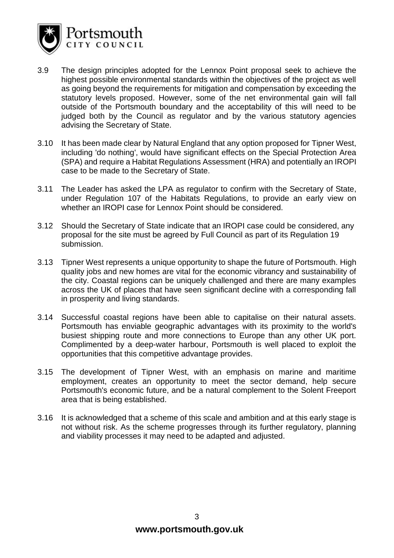

- 3.9 The design principles adopted for the Lennox Point proposal seek to achieve the highest possible environmental standards within the objectives of the project as well as going beyond the requirements for mitigation and compensation by exceeding the statutory levels proposed. However, some of the net environmental gain will fall outside of the Portsmouth boundary and the acceptability of this will need to be judged both by the Council as regulator and by the various statutory agencies advising the Secretary of State.
- 3.10 It has been made clear by Natural England that any option proposed for Tipner West, including 'do nothing', would have significant effects on the Special Protection Area (SPA) and require a Habitat Regulations Assessment (HRA) and potentially an IROPI case to be made to the Secretary of State.
- 3.11 The Leader has asked the LPA as regulator to confirm with the Secretary of State, under Regulation 107 of the Habitats Regulations, to provide an early view on whether an IROPI case for Lennox Point should be considered.
- 3.12 Should the Secretary of State indicate that an IROPI case could be considered, any proposal for the site must be agreed by Full Council as part of its Regulation 19 submission.
- 3.13 Tipner West represents a unique opportunity to shape the future of Portsmouth. High quality jobs and new homes are vital for the economic vibrancy and sustainability of the city. Coastal regions can be uniquely challenged and there are many examples across the UK of places that have seen significant decline with a corresponding fall in prosperity and living standards.
- 3.14 Successful coastal regions have been able to capitalise on their natural assets. Portsmouth has enviable geographic advantages with its proximity to the world's busiest shipping route and more connections to Europe than any other UK port. Complimented by a deep-water harbour, Portsmouth is well placed to exploit the opportunities that this competitive advantage provides.
- 3.15 The development of Tipner West, with an emphasis on marine and maritime employment, creates an opportunity to meet the sector demand, help secure Portsmouth's economic future, and be a natural complement to the Solent Freeport area that is being established.
- 3.16 It is acknowledged that a scheme of this scale and ambition and at this early stage is not without risk. As the scheme progresses through its further regulatory, planning and viability processes it may need to be adapted and adjusted.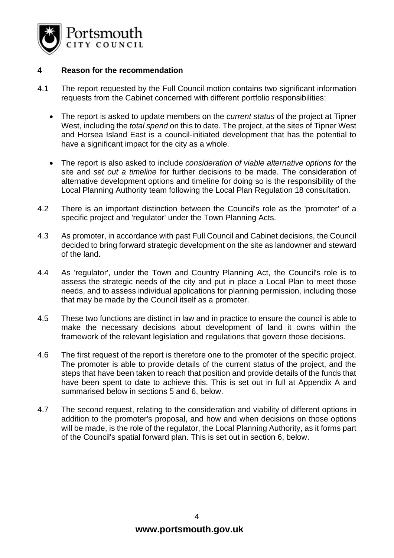

## **4 Reason for the recommendation**

- 4.1 The report requested by the Full Council motion contains two significant information requests from the Cabinet concerned with different portfolio responsibilities:
	- The report is asked to update members on the *current status* of the project at Tipner West, including the *total spend* on this to date. The project, at the sites of Tipner West and Horsea Island East is a council-initiated development that has the potential to have a significant impact for the city as a whole.
	- The report is also asked to include *consideration of viable alternative options for* the site and *set out a timeline* for further decisions to be made. The consideration of alternative development options and timeline for doing so is the responsibility of the Local Planning Authority team following the Local Plan Regulation 18 consultation.
- 4.2 There is an important distinction between the Council's role as the 'promoter' of a specific project and 'regulator' under the Town Planning Acts.
- 4.3 As promoter, in accordance with past Full Council and Cabinet decisions, the Council decided to bring forward strategic development on the site as landowner and steward of the land.
- 4.4 As 'regulator', under the Town and Country Planning Act, the Council's role is to assess the strategic needs of the city and put in place a Local Plan to meet those needs, and to assess individual applications for planning permission, including those that may be made by the Council itself as a promoter.
- 4.5 These two functions are distinct in law and in practice to ensure the council is able to make the necessary decisions about development of land it owns within the framework of the relevant legislation and regulations that govern those decisions.
- 4.6 The first request of the report is therefore one to the promoter of the specific project. The promoter is able to provide details of the current status of the project, and the steps that have been taken to reach that position and provide details of the funds that have been spent to date to achieve this. This is set out in full at Appendix A and summarised below in sections 5 and 6, below.
- 4.7 The second request, relating to the consideration and viability of different options in addition to the promoter's proposal, and how and when decisions on those options will be made, is the role of the regulator, the Local Planning Authority, as it forms part of the Council's spatial forward plan. This is set out in section 6, below.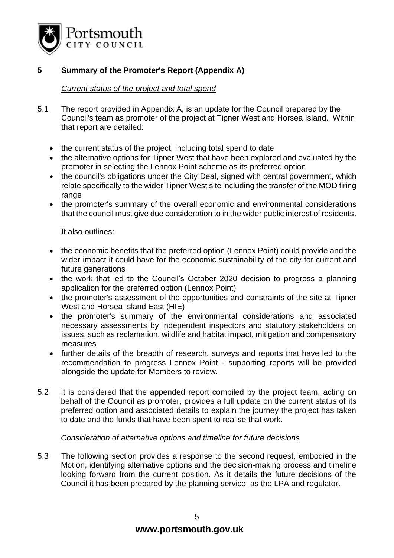

# **5 Summary of the Promoter's Report (Appendix A)**

# *Current status of the project and total spend*

- 5.1 The report provided in Appendix A, is an update for the Council prepared by the Council's team as promoter of the project at Tipner West and Horsea Island. Within that report are detailed:
	- the current status of the project, including total spend to date
	- the alternative options for Tipner West that have been explored and evaluated by the promoter in selecting the Lennox Point scheme as its preferred option
	- the council's obligations under the City Deal, signed with central government, which relate specifically to the wider Tipner West site including the transfer of the MOD firing range
	- the promoter's summary of the overall economic and environmental considerations that the council must give due consideration to in the wider public interest of residents.

It also outlines:

- the economic benefits that the preferred option (Lennox Point) could provide and the wider impact it could have for the economic sustainability of the city for current and future generations
- the work that led to the Council's October 2020 decision to progress a planning application for the preferred option (Lennox Point)
- the promoter's assessment of the opportunities and constraints of the site at Tipner West and Horsea Island East (HIE)
- the promoter's summary of the environmental considerations and associated necessary assessments by independent inspectors and statutory stakeholders on issues, such as reclamation, wildlife and habitat impact, mitigation and compensatory measures
- further details of the breadth of research, surveys and reports that have led to the recommendation to progress Lennox Point - supporting reports will be provided alongside the update for Members to review.
- 5.2 It is considered that the appended report compiled by the project team, acting on behalf of the Council as promoter, provides a full update on the current status of its preferred option and associated details to explain the journey the project has taken to date and the funds that have been spent to realise that work.

# *Consideration of alternative options and timeline for future decisions*

5.3 The following section provides a response to the second request, embodied in the Motion, identifying alternative options and the decision-making process and timeline looking forward from the current position. As it details the future decisions of the Council it has been prepared by the planning service, as the LPA and regulator.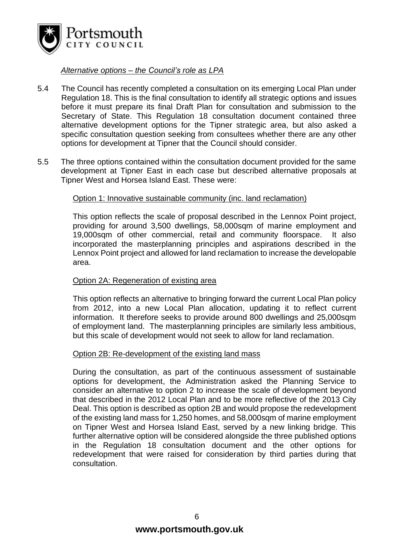

*Alternative options – the Council's role as LPA*

- 5.4 The Council has recently completed a consultation on its emerging Local Plan under Regulation 18. This is the final consultation to identify all strategic options and issues before it must prepare its final Draft Plan for consultation and submission to the Secretary of State. This Regulation 18 consultation document contained three alternative development options for the Tipner strategic area, but also asked a specific consultation question seeking from consultees whether there are any other options for development at Tipner that the Council should consider.
- 5.5 The three options contained within the consultation document provided for the same development at Tipner East in each case but described alternative proposals at Tipner West and Horsea Island East. These were:

#### Option 1: Innovative sustainable community (inc. land reclamation)

This option reflects the scale of proposal described in the Lennox Point project, providing for around 3,500 dwellings, 58,000sqm of marine employment and 19,000sqm of other commercial, retail and community floorspace. It also incorporated the masterplanning principles and aspirations described in the Lennox Point project and allowed for land reclamation to increase the developable area.

#### Option 2A: Regeneration of existing area

This option reflects an alternative to bringing forward the current Local Plan policy from 2012, into a new Local Plan allocation, updating it to reflect current information. It therefore seeks to provide around 800 dwellings and 25,000sqm of employment land. The masterplanning principles are similarly less ambitious, but this scale of development would not seek to allow for land reclamation.

#### Option 2B: Re-development of the existing land mass

During the consultation, as part of the continuous assessment of sustainable options for development, the Administration asked the Planning Service to consider an alternative to option 2 to increase the scale of development beyond that described in the 2012 Local Plan and to be more reflective of the 2013 City Deal. This option is described as option 2B and would propose the redevelopment of the existing land mass for 1,250 homes, and 58,000sqm of marine employment on Tipner West and Horsea Island East, served by a new linking bridge. This further alternative option will be considered alongside the three published options in the Regulation 18 consultation document and the other options for redevelopment that were raised for consideration by third parties during that consultation.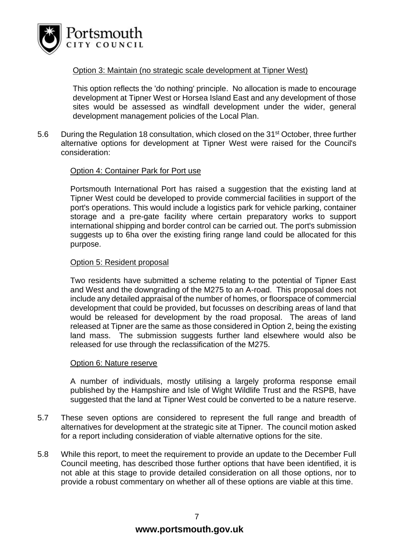

#### Option 3: Maintain (no strategic scale development at Tipner West)

This option reflects the 'do nothing' principle. No allocation is made to encourage development at Tipner West or Horsea Island East and any development of those sites would be assessed as windfall development under the wider, general development management policies of the Local Plan.

5.6 During the Regulation 18 consultation, which closed on the 31<sup>st</sup> October, three further alternative options for development at Tipner West were raised for the Council's consideration:

# Option 4: Container Park for Port use

Portsmouth International Port has raised a suggestion that the existing land at Tipner West could be developed to provide commercial facilities in support of the port's operations. This would include a logistics park for vehicle parking, container storage and a pre-gate facility where certain preparatory works to support international shipping and border control can be carried out. The port's submission suggests up to 6ha over the existing firing range land could be allocated for this purpose.

#### Option 5: Resident proposal

Two residents have submitted a scheme relating to the potential of Tipner East and West and the downgrading of the M275 to an A-road. This proposal does not include any detailed appraisal of the number of homes, or floorspace of commercial development that could be provided, but focusses on describing areas of land that would be released for development by the road proposal. The areas of land released at Tipner are the same as those considered in Option 2, being the existing land mass. The submission suggests further land elsewhere would also be released for use through the reclassification of the M275.

#### Option 6: Nature reserve

A number of individuals, mostly utilising a largely proforma response email published by the Hampshire and Isle of Wight Wildlife Trust and the RSPB, have suggested that the land at Tipner West could be converted to be a nature reserve.

- 5.7 These seven options are considered to represent the full range and breadth of alternatives for development at the strategic site at Tipner. The council motion asked for a report including consideration of viable alternative options for the site.
- 5.8 While this report, to meet the requirement to provide an update to the December Full Council meeting, has described those further options that have been identified, it is not able at this stage to provide detailed consideration on all those options, nor to provide a robust commentary on whether all of these options are viable at this time.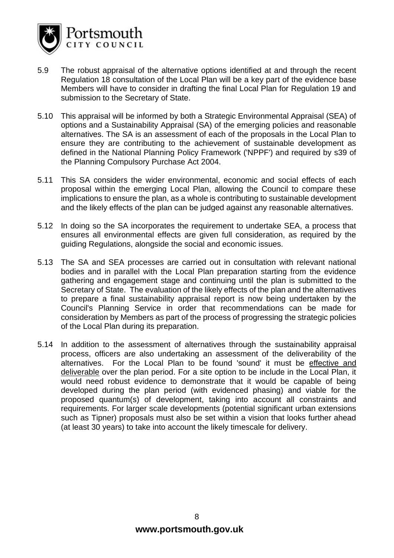

- 5.9 The robust appraisal of the alternative options identified at and through the recent Regulation 18 consultation of the Local Plan will be a key part of the evidence base Members will have to consider in drafting the final Local Plan for Regulation 19 and submission to the Secretary of State.
- 5.10 This appraisal will be informed by both a Strategic Environmental Appraisal (SEA) of options and a Sustainability Appraisal (SA) of the emerging policies and reasonable alternatives. The SA is an assessment of each of the proposals in the Local Plan to ensure they are contributing to the achievement of sustainable development as defined in the National Planning Policy Framework ('NPPF') and required by s39 of the Planning Compulsory Purchase Act 2004.
- 5.11 This SA considers the wider environmental, economic and social effects of each proposal within the emerging Local Plan, allowing the Council to compare these implications to ensure the plan, as a whole is contributing to sustainable development and the likely effects of the plan can be judged against any reasonable alternatives.
- 5.12 In doing so the SA incorporates the requirement to undertake SEA, a process that ensures all environmental effects are given full consideration, as required by the guiding Regulations, alongside the social and economic issues.
- 5.13 The SA and SEA processes are carried out in consultation with relevant national bodies and in parallel with the Local Plan preparation starting from the evidence gathering and engagement stage and continuing until the plan is submitted to the Secretary of State. The evaluation of the likely effects of the plan and the alternatives to prepare a final sustainability appraisal report is now being undertaken by the Council's Planning Service in order that recommendations can be made for consideration by Members as part of the process of progressing the strategic policies of the Local Plan during its preparation.
- 5.14 In addition to the assessment of alternatives through the sustainability appraisal process, officers are also undertaking an assessment of the deliverability of the alternatives. For the Local Plan to be found 'sound' it must be effective and deliverable over the plan period. For a site option to be include in the Local Plan, it would need robust evidence to demonstrate that it would be capable of being developed during the plan period (with evidenced phasing) and viable for the proposed quantum(s) of development, taking into account all constraints and requirements. For larger scale developments (potential significant urban extensions such as Tipner) proposals must also be set within a vision that looks further ahead (at least 30 years) to take into account the likely timescale for delivery.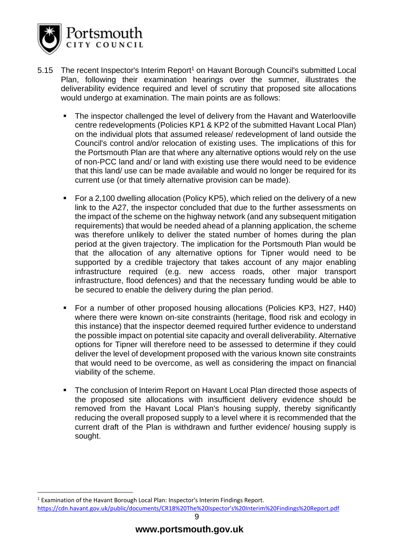

- 5.15 The recent Inspector's Interim Report<sup>1</sup> on Havant Borough Council's submitted Local Plan, following their examination hearings over the summer, illustrates the deliverability evidence required and level of scrutiny that proposed site allocations would undergo at examination. The main points are as follows:
	- The inspector challenged the level of delivery from the Havant and Waterlooville centre redevelopments (Policies KP1 & KP2 of the submitted Havant Local Plan) on the individual plots that assumed release/ redevelopment of land outside the Council's control and/or relocation of existing uses. The implications of this for the Portsmouth Plan are that where any alternative options would rely on the use of non-PCC land and/ or land with existing use there would need to be evidence that this land/ use can be made available and would no longer be required for its current use (or that timely alternative provision can be made).
	- For a 2,100 dwelling allocation (Policy KP5), which relied on the delivery of a new link to the A27, the inspector concluded that due to the further assessments on the impact of the scheme on the highway network (and any subsequent mitigation requirements) that would be needed ahead of a planning application, the scheme was therefore unlikely to deliver the stated number of homes during the plan period at the given trajectory. The implication for the Portsmouth Plan would be that the allocation of any alternative options for Tipner would need to be supported by a credible trajectory that takes account of any major enabling infrastructure required (e.g. new access roads, other major transport infrastructure, flood defences) and that the necessary funding would be able to be secured to enable the delivery during the plan period.
	- For a number of other proposed housing allocations (Policies KP3, H27, H40) where there were known on-site constraints (heritage, flood risk and ecology in this instance) that the inspector deemed required further evidence to understand the possible impact on potential site capacity and overall deliverability. Alternative options for Tipner will therefore need to be assessed to determine if they could deliver the level of development proposed with the various known site constraints that would need to be overcome, as well as considering the impact on financial viability of the scheme.
	- The conclusion of Interim Report on Havant Local Plan directed those aspects of the proposed site allocations with insufficient delivery evidence should be removed from the Havant Local Plan's housing supply, thereby significantly reducing the overall proposed supply to a level where it is recommended that the current draft of the Plan is withdrawn and further evidence/ housing supply is sought.

<sup>1</sup> Examination of the Havant Borough Local Plan: Inspector's Interim Findings Report. [https://cdn.havant.gov.uk/public/documents/CR18%20The%20Ispector's%20Interim%20Findings%20Report.pdf](https://cdn.havant.gov.uk/public/documents/CR18%20The%20Ispector)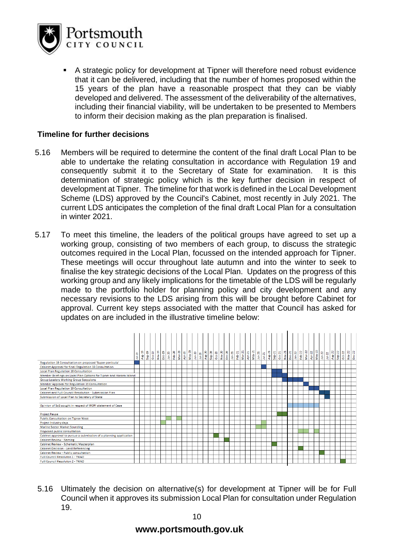

A strategic policy for development at Tipner will therefore need robust evidence that it can be delivered, including that the number of homes proposed within the 15 years of the plan have a reasonable prospect that they can be viably developed and delivered. The assessment of the deliverability of the alternatives, including their financial viability, will be undertaken to be presented to Members to inform their decision making as the plan preparation is finalised.

## **Timeline for further decisions**

- 5.16 Members will be required to determine the content of the final draft Local Plan to be able to undertake the relating consultation in accordance with Regulation 19 and consequently submit it to the Secretary of State for examination. It is this determination of strategic policy which is the key further decision in respect of development at Tipner. The timeline for that work is defined in the Local Development Scheme (LDS) approved by the Council's Cabinet, most recently in July 2021. The current LDS anticipates the completion of the final draft Local Plan for a consultation in winter 2021.
- 5.17 To meet this timeline, the leaders of the political groups have agreed to set up a working group, consisting of two members of each group, to discuss the strategic outcomes required in the Local Plan, focussed on the intended approach for Tipner. These meetings will occur throughout late autumn and into the winter to seek to finalise the key strategic decisions of the Local Plan. Updates on the progress of this working group and any likely implications for the timetable of the LDS will be regularly made to the portfolio holder for planning policy and city development and any necessary revisions to the LDS arising from this will be brought before Cabinet for approval. Current key steps associated with the matter that Council has asked for updates on are included in the illustrative timeline below:



5.16 Ultimately the decision on alternative(s) for development at Tipner will be for Full Council when it approves its submission Local Plan for consultation under Regulation 19.

# **www.portsmouth.gov.uk**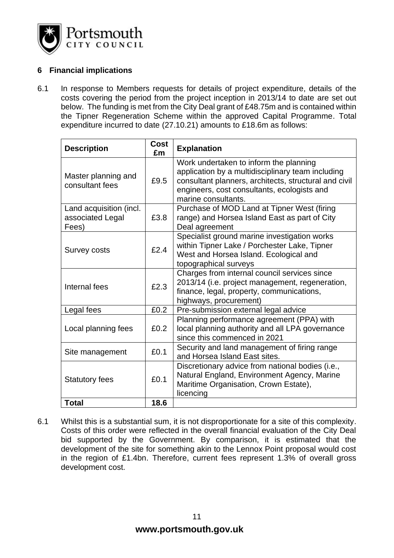

# **6 Financial implications**

6.1 In response to Members requests for details of project expenditure, details of the costs covering the period from the project inception in 2013/14 to date are set out below. The funding is met from the City Deal grant of £48.75m and is contained within the Tipner Regeneration Scheme within the approved Capital Programme. Total expenditure incurred to date (27.10.21) amounts to £18.6m as follows:

| <b>Description</b>                                   | <b>Cost</b><br>£m | <b>Explanation</b>                                                                                                                                                                                                         |  |  |
|------------------------------------------------------|-------------------|----------------------------------------------------------------------------------------------------------------------------------------------------------------------------------------------------------------------------|--|--|
| Master planning and<br>consultant fees               | £9.5              | Work undertaken to inform the planning<br>application by a multidisciplinary team including<br>consultant planners, architects, structural and civil<br>engineers, cost consultants, ecologists and<br>marine consultants. |  |  |
| Land acquisition (incl.<br>associated Legal<br>Fees) | £3.8              | Purchase of MOD Land at Tipner West (firing<br>range) and Horsea Island East as part of City<br>Deal agreement                                                                                                             |  |  |
| <b>Survey costs</b>                                  | £2.4              | Specialist ground marine investigation works<br>within Tipner Lake / Porchester Lake, Tipner<br>West and Horsea Island. Ecological and<br>topographical surveys                                                            |  |  |
| Internal fees                                        | £2.3              | Charges from internal council services since<br>2013/14 (i.e. project management, regeneration,<br>finance, legal, property, communications,<br>highways, procurement)                                                     |  |  |
| Legal fees                                           | £0.2              | Pre-submission external legal advice                                                                                                                                                                                       |  |  |
| Local planning fees                                  | £0.2              | Planning performance agreement (PPA) with<br>local planning authority and all LPA governance<br>since this commenced in 2021                                                                                               |  |  |
| Site management                                      | £0.1              | Security and land management of firing range<br>and Horsea Island East sites.                                                                                                                                              |  |  |
| <b>Statutory fees</b>                                | £0.1              | Discretionary advice from national bodies (i.e.,<br>Natural England, Environment Agency, Marine<br>Maritime Organisation, Crown Estate),<br>licencing                                                                      |  |  |
| <b>Total</b>                                         | 18.6              |                                                                                                                                                                                                                            |  |  |

6.1 Whilst this is a substantial sum, it is not disproportionate for a site of this complexity. Costs of this order were reflected in the overall financial evaluation of the City Deal bid supported by the Government. By comparison, it is estimated that the development of the site for something akin to the Lennox Point proposal would cost in the region of £1.4bn. Therefore, current fees represent 1.3% of overall gross development cost.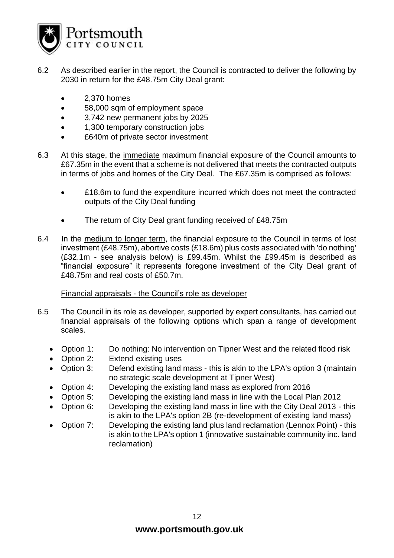

- 6.2 As described earlier in the report, the Council is contracted to deliver the following by 2030 in return for the £48.75m City Deal grant:
	- 2,370 homes
	- 58,000 sqm of employment space
	- 3,742 new permanent jobs by 2025
	- 1,300 temporary construction jobs
	- **£640m of private sector investment**
- 6.3 At this stage, the immediate maximum financial exposure of the Council amounts to £67.35m in the event that a scheme is not delivered that meets the contracted outputs in terms of jobs and homes of the City Deal. The £67.35m is comprised as follows:
	- £18.6m to fund the expenditure incurred which does not meet the contracted outputs of the City Deal funding
	- The return of City Deal grant funding received of £48.75m
- 6.4 In the medium to longer term, the financial exposure to the Council in terms of lost investment (£48.75m), abortive costs (£18.6m) plus costs associated with 'do nothing' (£32.1m - see analysis below) is £99.45m. Whilst the £99.45m is described as "financial exposure" it represents foregone investment of the City Deal grant of £48.75m and real costs of £50.7m.

Financial appraisals - the Council's role as developer

- 6.5 The Council in its role as developer, supported by expert consultants, has carried out financial appraisals of the following options which span a range of development scales.
	- Option 1: Do nothing: No intervention on Tipner West and the related flood risk
	- Option 2: Extend existing uses
	- Option 3: Defend existing land mass this is akin to the LPA's option 3 (maintain no strategic scale development at Tipner West)
	- Option 4: Developing the existing land mass as explored from 2016
	- Option 5: Developing the existing land mass in line with the Local Plan 2012
	- Option 6: Developing the existing land mass in line with the City Deal 2013 this is akin to the LPA's option 2B (re-development of existing land mass)
	- Option 7: Developing the existing land plus land reclamation (Lennox Point) this is akin to the LPA's option 1 (innovative sustainable community inc. land reclamation)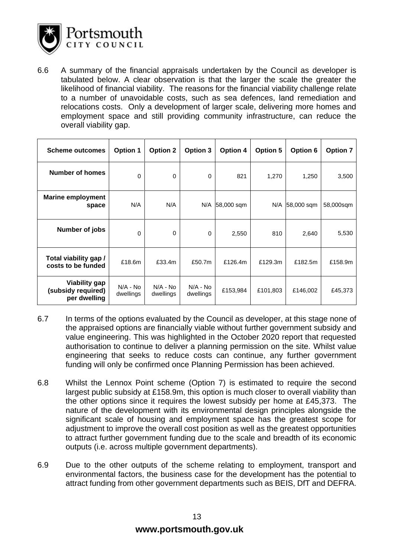

6.6 A summary of the financial appraisals undertaken by the Council as developer is tabulated below. A clear observation is that the larger the scale the greater the likelihood of financial viability. The reasons for the financial viability challenge relate to a number of unavoidable costs, such as sea defences, land remediation and relocations costs. Only a development of larger scale, delivering more homes and employment space and still providing community infrastructure, can reduce the overall viability gap.

| <b>Scheme outcomes</b>                                     | <b>Option 1</b>         | <b>Option 2</b>         | Option 3                | <b>Option 4</b> | <b>Option 5</b> | Option 6   | <b>Option 7</b> |
|------------------------------------------------------------|-------------------------|-------------------------|-------------------------|-----------------|-----------------|------------|-----------------|
| Number of homes                                            | $\Omega$                | 0                       | 0                       | 821             | 1,270           | 1,250      | 3,500           |
| <b>Marine employment</b><br>space                          | N/A                     | N/A                     |                         | N/A 58,000 sqm  | N/A             | 58,000 sqm | 58,000sqm       |
| Number of jobs                                             | $\Omega$                | 0                       | 0                       | 2,550           | 810             | 2,640      | 5,530           |
| Total viability gap /<br>costs to be funded                | £18.6m                  | £33.4m                  | £50.7m                  | £126.4m         | £129.3m         | £182.5m    | £158.9m         |
| <b>Viability gap</b><br>(subsidy required)<br>per dwelling | $N/A - No$<br>dwellings | $N/A - No$<br>dwellings | $N/A - No$<br>dwellings | £153,984        | £101,803        | £146,002   | £45,373         |

- 6.7 In terms of the options evaluated by the Council as developer, at this stage none of the appraised options are financially viable without further government subsidy and value engineering. This was highlighted in the October 2020 report that requested authorisation to continue to deliver a planning permission on the site. Whilst value engineering that seeks to reduce costs can continue, any further government funding will only be confirmed once Planning Permission has been achieved.
- 6.8 Whilst the Lennox Point scheme (Option 7) is estimated to require the second largest public subsidy at £158.9m, this option is much closer to overall viability than the other options since it requires the lowest subsidy per home at £45,373. The nature of the development with its environmental design principles alongside the significant scale of housing and employment space has the greatest scope for adjustment to improve the overall cost position as well as the greatest opportunities to attract further government funding due to the scale and breadth of its economic outputs (i.e. across multiple government departments).
- 6.9 Due to the other outputs of the scheme relating to employment, transport and environmental factors, the business case for the development has the potential to attract funding from other government departments such as BEIS, DfT and DEFRA.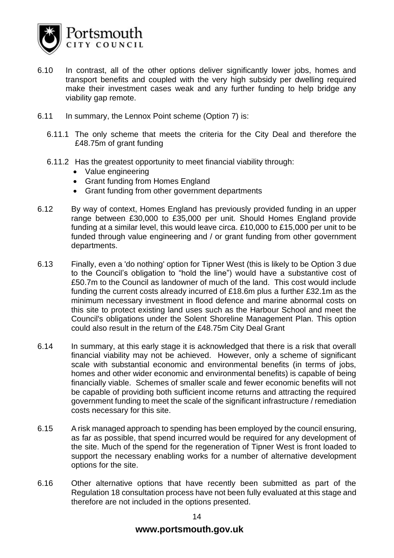

- 6.10 In contrast, all of the other options deliver significantly lower jobs, homes and transport benefits and coupled with the very high subsidy per dwelling required make their investment cases weak and any further funding to help bridge any viability gap remote.
- 6.11 In summary, the Lennox Point scheme (Option 7) is:
	- 6.11.1 The only scheme that meets the criteria for the City Deal and therefore the £48.75m of grant funding
	- 6.11.2 Has the greatest opportunity to meet financial viability through:
		- Value engineering
		- Grant funding from Homes England
		- Grant funding from other government departments
- 6.12 By way of context, Homes England has previously provided funding in an upper range between £30,000 to £35,000 per unit. Should Homes England provide funding at a similar level, this would leave circa. £10,000 to £15,000 per unit to be funded through value engineering and / or grant funding from other government departments.
- 6.13 Finally, even a 'do nothing' option for Tipner West (this is likely to be Option 3 due to the Council's obligation to "hold the line") would have a substantive cost of £50.7m to the Council as landowner of much of the land. This cost would include funding the current costs already incurred of £18.6m plus a further £32.1m as the minimum necessary investment in flood defence and marine abnormal costs on this site to protect existing land uses such as the Harbour School and meet the Council's obligations under the Solent Shoreline Management Plan. This option could also result in the return of the £48.75m City Deal Grant
- 6.14 In summary, at this early stage it is acknowledged that there is a risk that overall financial viability may not be achieved. However, only a scheme of significant scale with substantial economic and environmental benefits (in terms of jobs, homes and other wider economic and environmental benefits) is capable of being financially viable. Schemes of smaller scale and fewer economic benefits will not be capable of providing both sufficient income returns and attracting the required government funding to meet the scale of the significant infrastructure / remediation costs necessary for this site.
- 6.15 A risk managed approach to spending has been employed by the council ensuring, as far as possible, that spend incurred would be required for any development of the site. Much of the spend for the regeneration of Tipner West is front loaded to support the necessary enabling works for a number of alternative development options for the site.
- 6.16 Other alternative options that have recently been submitted as part of the Regulation 18 consultation process have not been fully evaluated at this stage and therefore are not included in the options presented.

# **www.portsmouth.gov.uk**